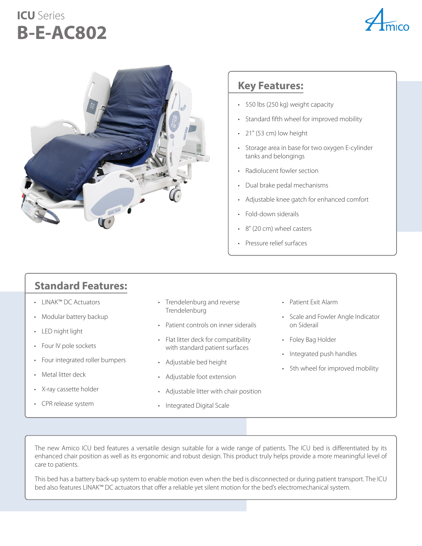## **ICU** Series **B-E-AC802**





#### **Key Features:**

- 550 lbs (250 kg) weight capacity
- Standard fifth wheel for improved mobility
- 21" (53 cm) low height
- Storage area in base for two oxygen E-cylinder tanks and belongings
- Radiolucent fowler section
- Dual brake pedal mechanisms
- Adjustable knee gatch for enhanced comfort
- Fold-down siderails
- 8" (20 cm) wheel casters
- Pressure relief surfaces

### **Standard Features:**

- LINAK™ DC Actuators
- Modular battery backup
- LED night light
- Four IV pole sockets
- Four integrated roller bumpers
- Metal litter deck
- X-ray cassette holder
- CPR release system
- Trendelenburg and reverse Trendelenburg
- Patient controls on inner siderails
- Flat litter deck for compatibility with standard patient surfaces
- Adjustable bed height
- Adjustable foot extension
- Adjustable litter with chair position
- Integrated Digital Scale
- Patient Exit Alarm
- Scale and Fowler Angle Indicator on Siderail
- Foley Bag Holder
- Integrated push handles
- 5th wheel for improved mobility

The new Amico ICU bed features a versatile design suitable for a wide range of patients. The ICU bed is differentiated by its enhanced chair position as well as its ergonomic and robust design. This product truly helps provide a more meaningful level of care to patients.

This bed has a battery back-up system to enable motion even when the bed is disconnected or during patient transport. The ICU bed also features LINAK™ DC actuators that offer a reliable yet silent motion for the bed's electromechanical system.